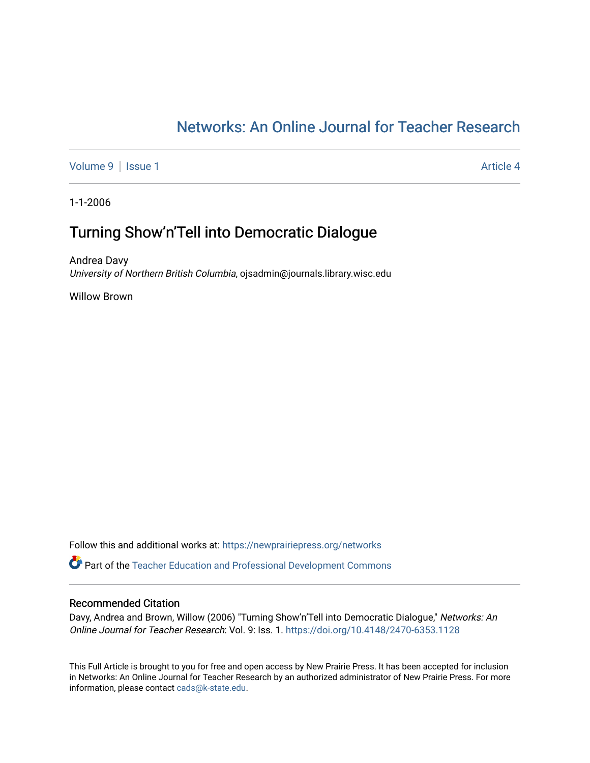# [Networks: An Online Journal for Teacher Research](https://newprairiepress.org/networks)

[Volume 9](https://newprairiepress.org/networks/vol9) | [Issue 1](https://newprairiepress.org/networks/vol9/iss1) Article 4

1-1-2006

# Turning Show'n'Tell into Democratic Dialogue

Andrea Davy University of Northern British Columbia, ojsadmin@journals.library.wisc.edu

Willow Brown

Follow this and additional works at: [https://newprairiepress.org/networks](https://newprairiepress.org/networks?utm_source=newprairiepress.org%2Fnetworks%2Fvol9%2Fiss1%2F4&utm_medium=PDF&utm_campaign=PDFCoverPages)

Part of the [Teacher Education and Professional Development Commons](http://network.bepress.com/hgg/discipline/803?utm_source=newprairiepress.org%2Fnetworks%2Fvol9%2Fiss1%2F4&utm_medium=PDF&utm_campaign=PDFCoverPages) 

#### Recommended Citation

Davy, Andrea and Brown, Willow (2006) "Turning Show'n'Tell into Democratic Dialogue," Networks: An Online Journal for Teacher Research: Vol. 9: Iss. 1. <https://doi.org/10.4148/2470-6353.1128>

This Full Article is brought to you for free and open access by New Prairie Press. It has been accepted for inclusion in Networks: An Online Journal for Teacher Research by an authorized administrator of New Prairie Press. For more information, please contact [cads@k-state.edu](mailto:cads@k-state.edu).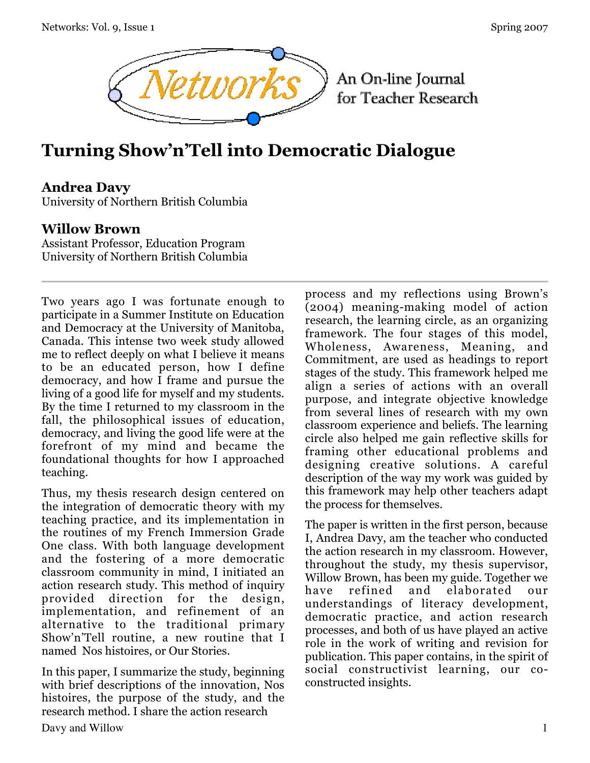

# **Turning Show'n'Tell into Democratic Dialogue**

### **Andrea Davy**

University of Northern British Columbia

### **Willow Brown**

Assistant Professor, Education Program University of Northern British Columbia

Two years ago I was fortunate enough to participate in a Summer Institute on Education and Democracy at the University of Manitoba, Canada. This intense two week study allowed me to reflect deeply on what I believe it means to be an educated person, how I define democracy, and how I frame and pursue the living of a good life for myself and my students. By the time I returned to my classroom in the fall, the philosophical issues of education, democracy, and living the good life were at the forefront of my mind and became the foundational thoughts for how I approached teaching.

Thus, my thesis research design centered on the integration of democratic theory with my teaching practice, and its implementation in the routines of my French Immersion Grade One class. With both language development and the fostering of a more democratic classroom community in mind, I initiated an action research study. This method of inquiry provided direction for the design, implementation, and refinement of an alternative to the traditional primary Show'n'Tell routine, a new routine that I named Nos histoires, or Our Stories.

In this paper, I summarize the study, beginning with brief descriptions of the innovation, Nos histoires, the purpose of the study, and the research method. I share the action research

process and my reflections using Brown's (2004) meaning-making model of action research, the learning circle, as an organizing framework. The four stages of this model, Wholeness, Awareness, Meaning, and Commitment, are used as headings to report stages of the study. This framework helped me align a series of actions with an overall purpose, and integrate objective knowledge from several lines of research with my own classroom experience and beliefs. The learning circle also helped me gain reflective skills for framing other educational problems and designing creative solutions. A careful description of the way my work was guided by this framework may help other teachers adapt the process for themselves.

The paper is written in the first person, because I, Andrea Davy, am the teacher who conducted the action research in my classroom. However, throughout the study, my thesis supervisor, Willow Brown, has been my guide. Together we have refined and elaborated our understandings of literacy development, democratic practice, and action research processes, and both of us have played an active role in the work of writing and revision for publication. This paper contains, in the spirit of social constructivist learning, our coconstructed insights.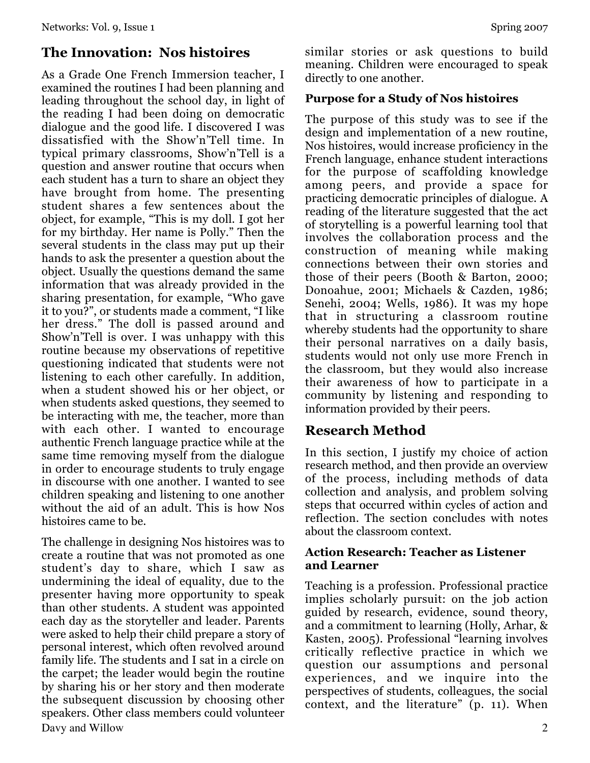# **The Innovation: Nos histoires**

As a Grade One French Immersion teacher, I examined the routines I had been planning and leading throughout the school day, in light of the reading I had been doing on democratic dialogue and the good life. I discovered I was dissatisfied with the Show'n'Tell time. In typical primary classrooms, Show'n'Tell is a question and answer routine that occurs when each student has a turn to share an object they have brought from home. The presenting student shares a few sentences about the object, for example, "This is my doll. I got her for my birthday. Her name is Polly." Then the several students in the class may put up their hands to ask the presenter a question about the object. Usually the questions demand the same information that was already provided in the sharing presentation, for example, "Who gave it to you?", or students made a comment, "I like her dress." The doll is passed around and Show'n'Tell is over. I was unhappy with this routine because my observations of repetitive questioning indicated that students were not listening to each other carefully. In addition, when a student showed his or her object, or when students asked questions, they seemed to be interacting with me, the teacher, more than with each other. I wanted to encourage authentic French language practice while at the same time removing myself from the dialogue in order to encourage students to truly engage in discourse with one another. I wanted to see children speaking and listening to one another without the aid of an adult. This is how Nos histoires came to be.

Davy and Willow 2 The challenge in designing Nos histoires was to create a routine that was not promoted as one student's day to share, which I saw as undermining the ideal of equality, due to the presenter having more opportunity to speak than other students. A student was appointed each day as the storyteller and leader. Parents were asked to help their child prepare a story of personal interest, which often revolved around family life. The students and I sat in a circle on the carpet; the leader would begin the routine by sharing his or her story and then moderate the subsequent discussion by choosing other speakers. Other class members could volunteer

similar stories or ask questions to build meaning. Children were encouraged to speak directly to one another.

#### **Purpose for a Study of Nos histoires**

The purpose of this study was to see if the design and implementation of a new routine, Nos histoires, would increase proficiency in the French language, enhance student interactions for the purpose of scaffolding knowledge among peers, and provide a space for practicing democratic principles of dialogue. A reading of the literature suggested that the act of storytelling is a powerful learning tool that involves the collaboration process and the construction of meaning while making connections between their own stories and those of their peers (Booth & Barton, 2000; Donoahue, 2001; Michaels & Cazden, 1986; Senehi, 2004; Wells, 1986). It was my hope that in structuring a classroom routine whereby students had the opportunity to share their personal narratives on a daily basis, students would not only use more French in the classroom, but they would also increase their awareness of how to participate in a community by listening and responding to information provided by their peers.

# **Research Method**

In this section, I justify my choice of action research method, and then provide an overview of the process, including methods of data collection and analysis, and problem solving steps that occurred within cycles of action and reflection. The section concludes with notes about the classroom context.

#### **Action Research: Teacher as Listener and Learner**

Teaching is a profession. Professional practice implies scholarly pursuit: on the job action guided by research, evidence, sound theory, and a commitment to learning (Holly, Arhar, & Kasten, 2005). Professional "learning involves critically reflective practice in which we question our assumptions and personal experiences, and we inquire into the perspectives of students, colleagues, the social context, and the literature" (p. 11). When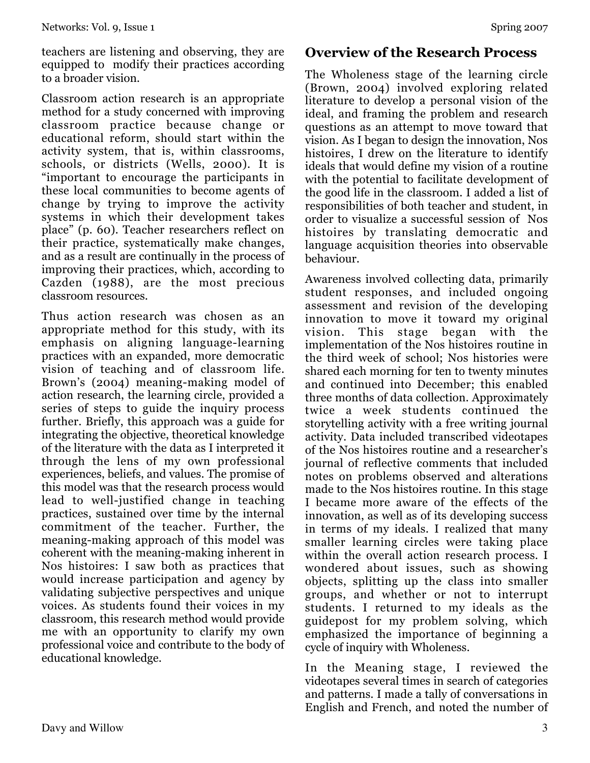teachers are listening and observing, they are equipped to modify their practices according to a broader vision.

Classroom action research is an appropriate method for a study concerned with improving classroom practice because change or educational reform, should start within the activity system, that is, within classrooms, schools, or districts (Wells, 2000). It is "important to encourage the participants in these local communities to become agents of change by trying to improve the activity systems in which their development takes place" (p. 60). Teacher researchers reflect on their practice, systematically make changes, and as a result are continually in the process of improving their practices, which, according to Cazden (1988), are the most precious classroom resources.

Thus action research was chosen as an appropriate method for this study, with its emphasis on aligning language-learning practices with an expanded, more democratic vision of teaching and of classroom life. Brown's (2004) meaning-making model of action research, the learning circle, provided a series of steps to guide the inquiry process further. Briefly, this approach was a guide for integrating the objective, theoretical knowledge of the literature with the data as I interpreted it through the lens of my own professional experiences, beliefs, and values. The promise of this model was that the research process would lead to well-justified change in teaching practices, sustained over time by the internal commitment of the teacher. Further, the meaning-making approach of this model was coherent with the meaning-making inherent in Nos histoires: I saw both as practices that would increase participation and agency by validating subjective perspectives and unique voices. As students found their voices in my classroom, this research method would provide me with an opportunity to clarify my own professional voice and contribute to the body of educational knowledge.

# **Overview of the Research Process**

The Wholeness stage of the learning circle (Brown, 2004) involved exploring related literature to develop a personal vision of the ideal, and framing the problem and research questions as an attempt to move toward that vision. As I began to design the innovation, Nos histoires, I drew on the literature to identify ideals that would define my vision of a routine with the potential to facilitate development of the good life in the classroom. I added a list of responsibilities of both teacher and student, in order to visualize a successful session of Nos histoires by translating democratic and language acquisition theories into observable behaviour.

Awareness involved collecting data, primarily student responses, and included ongoing assessment and revision of the developing innovation to move it toward my original vision. This stage began with the implementation of the Nos histoires routine in the third week of school; Nos histories were shared each morning for ten to twenty minutes and continued into December; this enabled three months of data collection. Approximately twice a week students continued the storytelling activity with a free writing journal activity. Data included transcribed videotapes of the Nos histoires routine and a researcher's journal of reflective comments that included notes on problems observed and alterations made to the Nos histoires routine. In this stage I became more aware of the effects of the innovation, as well as of its developing success in terms of my ideals. I realized that many smaller learning circles were taking place within the overall action research process. I wondered about issues, such as showing objects, splitting up the class into smaller groups, and whether or not to interrupt students. I returned to my ideals as the guidepost for my problem solving, which emphasized the importance of beginning a cycle of inquiry with Wholeness.

In the Meaning stage, I reviewed the videotapes several times in search of categories and patterns. I made a tally of conversations in English and French, and noted the number of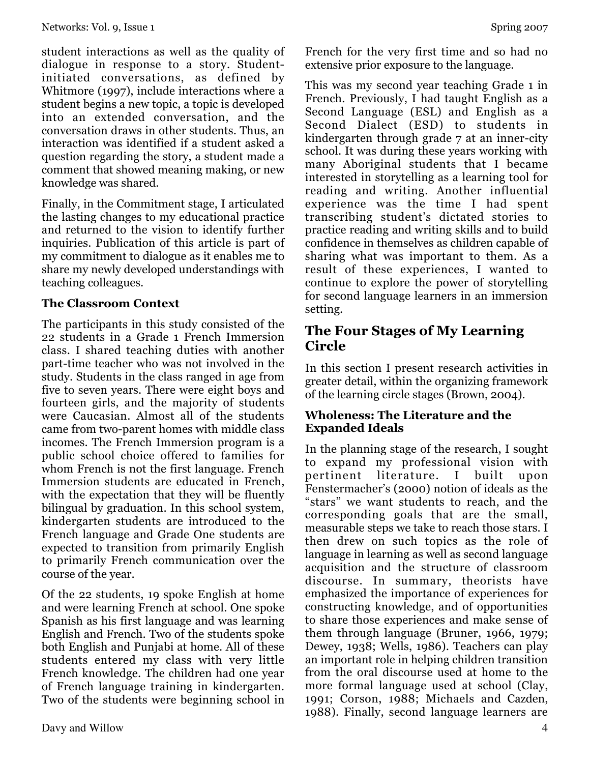student interactions as well as the quality of dialogue in response to a story. Studentinitiated conversations, as defined by Whitmore (1997), include interactions where a student begins a new topic, a topic is developed into an extended conversation, and the conversation draws in other students. Thus, an interaction was identified if a student asked a question regarding the story, a student made a comment that showed meaning making, or new knowledge was shared.

Finally, in the Commitment stage, I articulated the lasting changes to my educational practice and returned to the vision to identify further inquiries. Publication of this article is part of my commitment to dialogue as it enables me to share my newly developed understandings with teaching colleagues.

#### **The Classroom Context**

The participants in this study consisted of the 22 students in a Grade 1 French Immersion class. I shared teaching duties with another part-time teacher who was not involved in the study. Students in the class ranged in age from five to seven years. There were eight boys and fourteen girls, and the majority of students were Caucasian. Almost all of the students came from two-parent homes with middle class incomes. The French Immersion program is a public school choice offered to families for whom French is not the first language. French Immersion students are educated in French, with the expectation that they will be fluently bilingual by graduation. In this school system, kindergarten students are introduced to the French language and Grade One students are expected to transition from primarily English to primarily French communication over the course of the year.

Of the 22 students, 19 spoke English at home and were learning French at school. One spoke Spanish as his first language and was learning English and French. Two of the students spoke both English and Punjabi at home. All of these students entered my class with very little French knowledge. The children had one year of French language training in kindergarten. Two of the students were beginning school in French for the very first time and so had no extensive prior exposure to the language.

This was my second year teaching Grade 1 in French. Previously, I had taught English as a Second Language (ESL) and English as a Second Dialect (ESD) to students in kindergarten through grade 7 at an inner-city school. It was during these years working with many Aboriginal students that I became interested in storytelling as a learning tool for reading and writing. Another influential experience was the time I had spent transcribing student's dictated stories to practice reading and writing skills and to build confidence in themselves as children capable of sharing what was important to them. As a result of these experiences, I wanted to continue to explore the power of storytelling for second language learners in an immersion setting.

# **The Four Stages of My Learning Circle**

In this section I present research activities in greater detail, within the organizing framework of the learning circle stages (Brown, 2004).

#### **Wholeness: The Literature and the Expanded Ideals**

In the planning stage of the research, I sought to expand my professional vision with pertinent literature. I built upon Fenstermacher's (2000) notion of ideals as the "stars" we want students to reach, and the corresponding goals that are the small, measurable steps we take to reach those stars. I then drew on such topics as the role of language in learning as well as second language acquisition and the structure of classroom discourse. In summary, theorists have emphasized the importance of experiences for constructing knowledge, and of opportunities to share those experiences and make sense of them through language (Bruner, 1966, 1979; Dewey, 1938; Wells, 1986). Teachers can play an important role in helping children transition from the oral discourse used at home to the more formal language used at school (Clay, 1991; Corson, 1988; Michaels and Cazden, 1988). Finally, second language learners are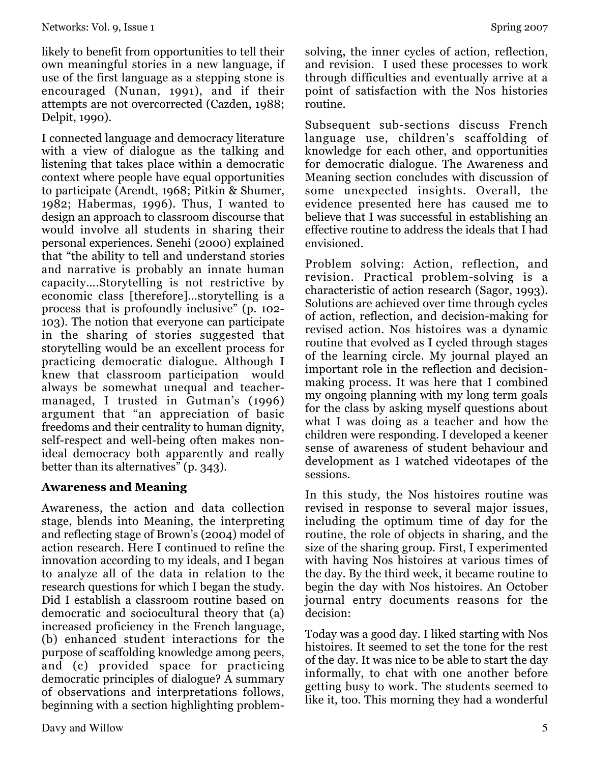likely to benefit from opportunities to tell their own meaningful stories in a new language, if use of the first language as a stepping stone is encouraged (Nunan, 1991), and if their attempts are not overcorrected (Cazden, 1988; Delpit, 1990).

I connected language and democracy literature with a view of dialogue as the talking and listening that takes place within a democratic context where people have equal opportunities to participate (Arendt, 1968; Pitkin & Shumer, 1982; Habermas, 1996). Thus, I wanted to design an approach to classroom discourse that would involve all students in sharing their personal experiences. Senehi (2000) explained that "the ability to tell and understand stories and narrative is probably an innate human capacity….Storytelling is not restrictive by economic class [therefore]…storytelling is a process that is profoundly inclusive" (p. 102- 103). The notion that everyone can participate in the sharing of stories suggested that storytelling would be an excellent process for practicing democratic dialogue. Although I knew that classroom participation would always be somewhat unequal and teachermanaged, I trusted in Gutman's (1996) argument that "an appreciation of basic freedoms and their centrality to human dignity, self-respect and well-being often makes nonideal democracy both apparently and really better than its alternatives" (p. 343).

#### **Awareness and Meaning**

Awareness, the action and data collection stage, blends into Meaning, the interpreting and reflecting stage of Brown's (2004) model of action research. Here I continued to refine the innovation according to my ideals, and I began to analyze all of the data in relation to the research questions for which I began the study. Did I establish a classroom routine based on democratic and sociocultural theory that (a) increased proficiency in the French language, (b) enhanced student interactions for the purpose of scaffolding knowledge among peers, and (c) provided space for practicing democratic principles of dialogue? A summary of observations and interpretations follows, beginning with a section highlighting problemsolving, the inner cycles of action, reflection, and revision. I used these processes to work through difficulties and eventually arrive at a point of satisfaction with the Nos histories routine.

Subsequent sub-sections discuss French language use, children's scaffolding of knowledge for each other, and opportunities for democratic dialogue. The Awareness and Meaning section concludes with discussion of some unexpected insights. Overall, the evidence presented here has caused me to believe that I was successful in establishing an effective routine to address the ideals that I had envisioned.

Problem solving: Action, reflection, and revision. Practical problem-solving is a characteristic of action research (Sagor, 1993). Solutions are achieved over time through cycles of action, reflection, and decision-making for revised action. Nos histoires was a dynamic routine that evolved as I cycled through stages of the learning circle. My journal played an important role in the reflection and decisionmaking process. It was here that I combined my ongoing planning with my long term goals for the class by asking myself questions about what I was doing as a teacher and how the children were responding. I developed a keener sense of awareness of student behaviour and development as I watched videotapes of the sessions.

In this study, the Nos histoires routine was revised in response to several major issues, including the optimum time of day for the routine, the role of objects in sharing, and the size of the sharing group. First, I experimented with having Nos histoires at various times of the day. By the third week, it became routine to begin the day with Nos histoires. An October journal entry documents reasons for the decision:

Today was a good day. I liked starting with Nos histoires. It seemed to set the tone for the rest of the day. It was nice to be able to start the day informally, to chat with one another before getting busy to work. The students seemed to like it, too. This morning they had a wonderful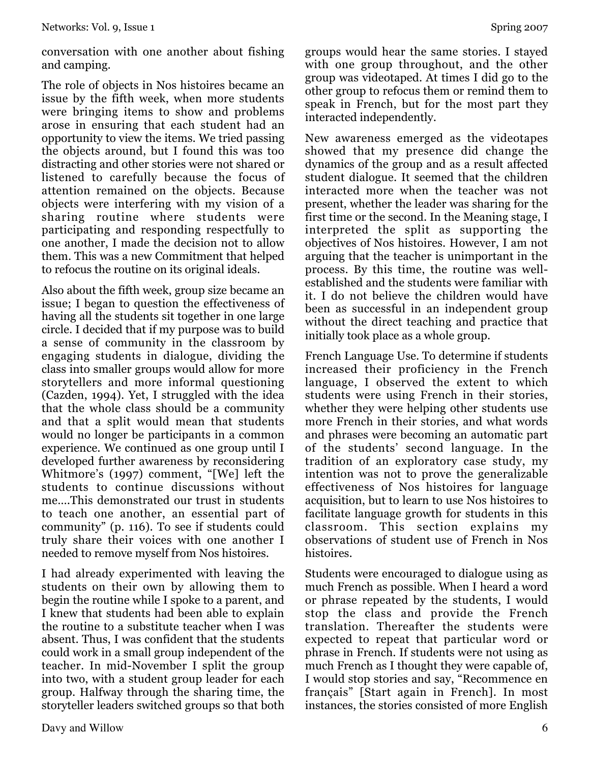conversation with one another about fishing and camping.

The role of objects in Nos histoires became an issue by the fifth week, when more students were bringing items to show and problems arose in ensuring that each student had an opportunity to view the items. We tried passing the objects around, but I found this was too distracting and other stories were not shared or listened to carefully because the focus of attention remained on the objects. Because objects were interfering with my vision of a sharing routine where students were participating and responding respectfully to one another, I made the decision not to allow them. This was a new Commitment that helped to refocus the routine on its original ideals.

Also about the fifth week, group size became an issue; I began to question the effectiveness of having all the students sit together in one large circle. I decided that if my purpose was to build a sense of community in the classroom by engaging students in dialogue, dividing the class into smaller groups would allow for more storytellers and more informal questioning (Cazden, 1994). Yet, I struggled with the idea that the whole class should be a community and that a split would mean that students would no longer be participants in a common experience. We continued as one group until I developed further awareness by reconsidering Whitmore's (1997) comment, "[We] left the students to continue discussions without me….This demonstrated our trust in students to teach one another, an essential part of community" (p. 116). To see if students could truly share their voices with one another I needed to remove myself from Nos histoires.

I had already experimented with leaving the students on their own by allowing them to begin the routine while I spoke to a parent, and I knew that students had been able to explain the routine to a substitute teacher when I was absent. Thus, I was confident that the students could work in a small group independent of the teacher. In mid-November I split the group into two, with a student group leader for each group. Halfway through the sharing time, the storyteller leaders switched groups so that both groups would hear the same stories. I stayed with one group throughout, and the other group was videotaped. At times I did go to the other group to refocus them or remind them to speak in French, but for the most part they interacted independently.

New awareness emerged as the videotapes showed that my presence did change the dynamics of the group and as a result affected student dialogue. It seemed that the children interacted more when the teacher was not present, whether the leader was sharing for the first time or the second. In the Meaning stage, I interpreted the split as supporting the objectives of Nos histoires. However, I am not arguing that the teacher is unimportant in the process. By this time, the routine was wellestablished and the students were familiar with it. I do not believe the children would have been as successful in an independent group without the direct teaching and practice that initially took place as a whole group.

French Language Use. To determine if students increased their proficiency in the French language, I observed the extent to which students were using French in their stories, whether they were helping other students use more French in their stories, and what words and phrases were becoming an automatic part of the students' second language. In the tradition of an exploratory case study, my intention was not to prove the generalizable effectiveness of Nos histoires for language acquisition, but to learn to use Nos histoires to facilitate language growth for students in this classroom. This section explains my observations of student use of French in Nos histoires.

Students were encouraged to dialogue using as much French as possible. When I heard a word or phrase repeated by the students, I would stop the class and provide the French translation. Thereafter the students were expected to repeat that particular word or phrase in French. If students were not using as much French as I thought they were capable of, I would stop stories and say, "Recommence en français" [Start again in French]. In most instances, the stories consisted of more English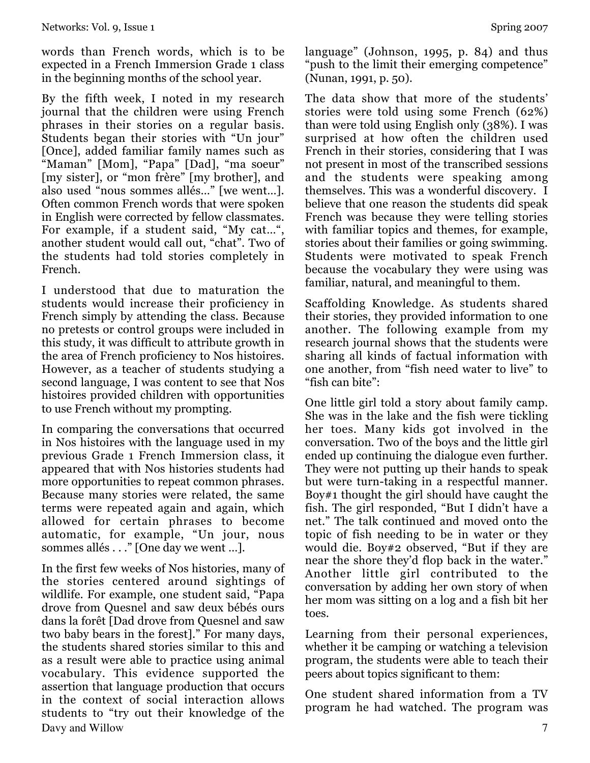words than French words, which is to be expected in a French Immersion Grade 1 class in the beginning months of the school year.

By the fifth week, I noted in my research journal that the children were using French phrases in their stories on a regular basis. Students began their stories with "Un jour" [Once], added familiar family names such as "Maman" [Mom], "Papa" [Dad], "ma soeur" [my sister], or "mon frère" [my brother], and also used "nous sommes allés…" [we went…]. Often common French words that were spoken in English were corrected by fellow classmates. For example, if a student said, "My cat…", another student would call out, "chat". Two of the students had told stories completely in French.

I understood that due to maturation the students would increase their proficiency in French simply by attending the class. Because no pretests or control groups were included in this study, it was difficult to attribute growth in the area of French proficiency to Nos histoires. However, as a teacher of students studying a second language, I was content to see that Nos histoires provided children with opportunities to use French without my prompting.

In comparing the conversations that occurred in Nos histoires with the language used in my previous Grade 1 French Immersion class, it appeared that with Nos histories students had more opportunities to repeat common phrases. Because many stories were related, the same terms were repeated again and again, which allowed for certain phrases to become automatic, for example, "Un jour, nous sommes allés . . ." [One day we went …].

Davy and Willow 7 In the first few weeks of Nos histories, many of the stories centered around sightings of wildlife. For example, one student said, "Papa drove from Quesnel and saw deux bébés ours dans la forêt [Dad drove from Quesnel and saw two baby bears in the forest]." For many days, the students shared stories similar to this and as a result were able to practice using animal vocabulary. This evidence supported the assertion that language production that occurs in the context of social interaction allows students to "try out their knowledge of the

language" (Johnson, 1995, p. 84) and thus "push to the limit their emerging competence" (Nunan, 1991, p. 50).

The data show that more of the students' stories were told using some French (62%) than were told using English only (38%). I was surprised at how often the children used French in their stories, considering that I was not present in most of the transcribed sessions and the students were speaking among themselves. This was a wonderful discovery. I believe that one reason the students did speak French was because they were telling stories with familiar topics and themes, for example, stories about their families or going swimming. Students were motivated to speak French because the vocabulary they were using was familiar, natural, and meaningful to them.

Scaffolding Knowledge. As students shared their stories, they provided information to one another. The following example from my research journal shows that the students were sharing all kinds of factual information with one another, from "fish need water to live" to "fish can bite":

One little girl told a story about family camp. She was in the lake and the fish were tickling her toes. Many kids got involved in the conversation. Two of the boys and the little girl ended up continuing the dialogue even further. They were not putting up their hands to speak but were turn-taking in a respectful manner. Boy#1 thought the girl should have caught the fish. The girl responded, "But I didn't have a net." The talk continued and moved onto the topic of fish needing to be in water or they would die. Boy#2 observed, "But if they are near the shore they'd flop back in the water." Another little girl contributed to the conversation by adding her own story of when her mom was sitting on a log and a fish bit her toes.

Learning from their personal experiences, whether it be camping or watching a television program, the students were able to teach their peers about topics significant to them:

One student shared information from a TV program he had watched. The program was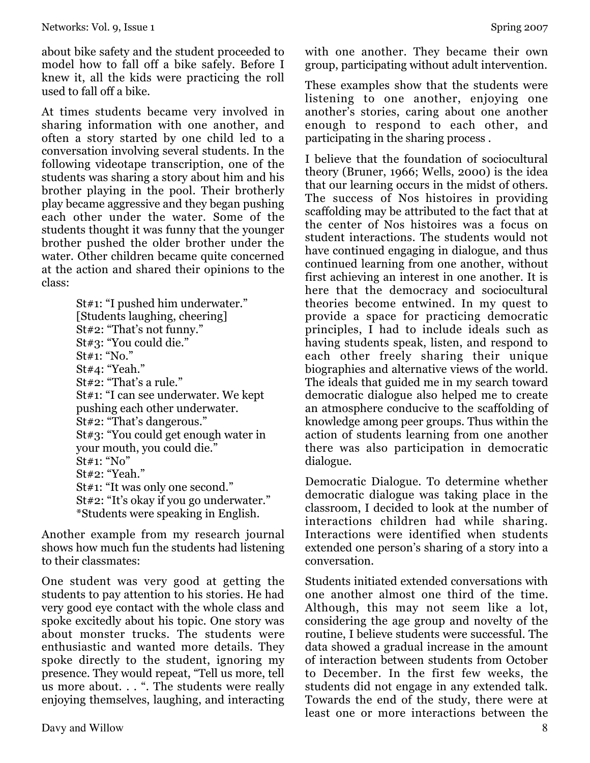about bike safety and the student proceeded to model how to fall off a bike safely. Before I knew it, all the kids were practicing the roll used to fall off a bike.

At times students became very involved in sharing information with one another, and often a story started by one child led to a conversation involving several students. In the following videotape transcription, one of the students was sharing a story about him and his brother playing in the pool. Their brotherly play became aggressive and they began pushing each other under the water. Some of the students thought it was funny that the younger brother pushed the older brother under the water. Other children became quite concerned at the action and shared their opinions to the class:

| St#1: "I pushed him underwater."        |
|-----------------------------------------|
| [Students laughing, cheering]           |
| St#2: "That's not funny."               |
| St#3: "You could die."                  |
| $St#1:$ "No."                           |
| St#4: "Yeah."                           |
| St#2: "That's a rule."                  |
| St#1: "I can see underwater. We kept    |
| pushing each other underwater.          |
| St#2: "That's dangerous."               |
| St#3: "You could get enough water in    |
| your mouth, you could die."             |
| St#1: "No"                              |
| St#2: "Yeah."                           |
| St#1: "It was only one second."         |
| St#2: "It's okay if you go underwater." |
| *Students were speaking in English.     |
|                                         |

Another example from my research journal shows how much fun the students had listening to their classmates:

One student was very good at getting the students to pay attention to his stories. He had very good eye contact with the whole class and spoke excitedly about his topic. One story was about monster trucks. The students were enthusiastic and wanted more details. They spoke directly to the student, ignoring my presence. They would repeat, "Tell us more, tell us more about. . . ". The students were really enjoying themselves, laughing, and interacting with one another. They became their own group, participating without adult intervention.

These examples show that the students were listening to one another, enjoying one another's stories, caring about one another enough to respond to each other, and participating in the sharing process .

I believe that the foundation of sociocultural theory (Bruner, 1966; Wells, 2000) is the idea that our learning occurs in the midst of others. The success of Nos histoires in providing scaffolding may be attributed to the fact that at the center of Nos histoires was a focus on student interactions. The students would not have continued engaging in dialogue, and thus continued learning from one another, without first achieving an interest in one another. It is here that the democracy and sociocultural theories become entwined. In my quest to provide a space for practicing democratic principles, I had to include ideals such as having students speak, listen, and respond to each other freely sharing their unique biographies and alternative views of the world. The ideals that guided me in my search toward democratic dialogue also helped me to create an atmosphere conducive to the scaffolding of knowledge among peer groups. Thus within the action of students learning from one another there was also participation in democratic dialogue.

Democratic Dialogue. To determine whether democratic dialogue was taking place in the classroom, I decided to look at the number of interactions children had while sharing. Interactions were identified when students extended one person's sharing of a story into a conversation.

Students initiated extended conversations with one another almost one third of the time. Although, this may not seem like a lot, considering the age group and novelty of the routine, I believe students were successful. The data showed a gradual increase in the amount of interaction between students from October to December. In the first few weeks, the students did not engage in any extended talk. Towards the end of the study, there were at least one or more interactions between the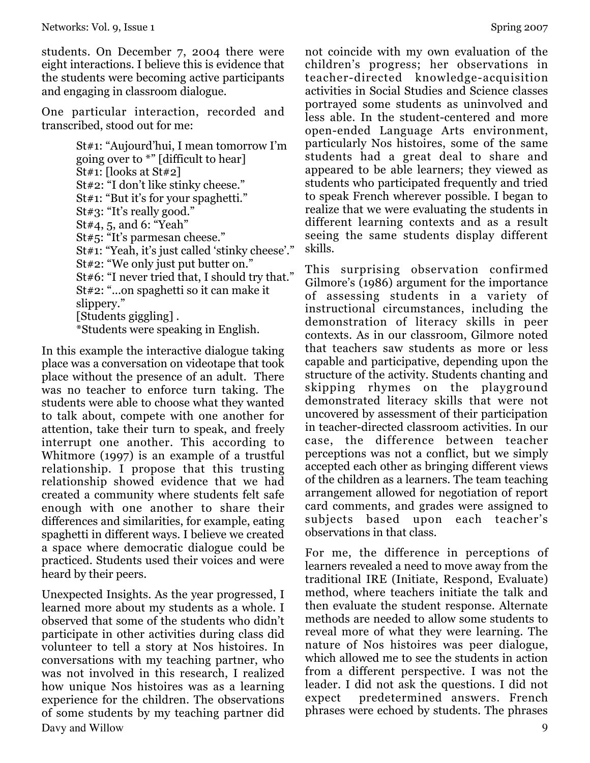students. On December 7, 2004 there were eight interactions. I believe this is evidence that the students were becoming active participants and engaging in classroom dialogue.

One particular interaction, recorded and transcribed, stood out for me:

> St#1: "Aujourd'hui, I mean tomorrow I'm going over to \*" [difficult to hear] St#1: [looks at St#2] St#2: "I don't like stinky cheese." St#1: "But it's for your spaghetti." St#3: "It's really good." St#4, 5, and 6: "Yeah" St#5: "It's parmesan cheese." St#1: "Yeah, it's just called 'stinky cheese'." St#2: "We only just put butter on." St#6: "I never tried that, I should try that." St#2: "...on spaghetti so it can make it slippery." [Students giggling] . \*Students were speaking in English.

In this example the interactive dialogue taking place was a conversation on videotape that took place without the presence of an adult. There was no teacher to enforce turn taking. The students were able to choose what they wanted to talk about, compete with one another for attention, take their turn to speak, and freely interrupt one another. This according to Whitmore (1997) is an example of a trustful relationship. I propose that this trusting relationship showed evidence that we had created a community where students felt safe enough with one another to share their differences and similarities, for example, eating spaghetti in different ways. I believe we created a space where democratic dialogue could be practiced. Students used their voices and were heard by their peers.

Davy and Willow 9 Unexpected Insights. As the year progressed, I learned more about my students as a whole. I observed that some of the students who didn't participate in other activities during class did volunteer to tell a story at Nos histoires. In conversations with my teaching partner, who was not involved in this research, I realized how unique Nos histoires was as a learning experience for the children. The observations of some students by my teaching partner did

not coincide with my own evaluation of the children's progress; her observations in teacher-directed knowledge-acquisition activities in Social Studies and Science classes portrayed some students as uninvolved and less able. In the student-centered and more open-ended Language Arts environment, particularly Nos histoires, some of the same students had a great deal to share and appeared to be able learners; they viewed as students who participated frequently and tried to speak French wherever possible. I began to realize that we were evaluating the students in different learning contexts and as a result seeing the same students display different skills.

This surprising observation confirmed Gilmore's (1986) argument for the importance of assessing students in a variety of instructional circumstances, including the demonstration of literacy skills in peer contexts. As in our classroom, Gilmore noted that teachers saw students as more or less capable and participative, depending upon the structure of the activity. Students chanting and skipping rhymes on the playground demonstrated literacy skills that were not uncovered by assessment of their participation in teacher-directed classroom activities. In our case, the difference between teacher perceptions was not a conflict, but we simply accepted each other as bringing different views of the children as a learners. The team teaching arrangement allowed for negotiation of report card comments, and grades were assigned to subjects based upon each teacher's observations in that class.

For me, the difference in perceptions of learners revealed a need to move away from the traditional IRE (Initiate, Respond, Evaluate) method, where teachers initiate the talk and then evaluate the student response. Alternate methods are needed to allow some students to reveal more of what they were learning. The nature of Nos histoires was peer dialogue, which allowed me to see the students in action from a different perspective. I was not the leader. I did not ask the questions. I did not expect predetermined answers. French phrases were echoed by students. The phrases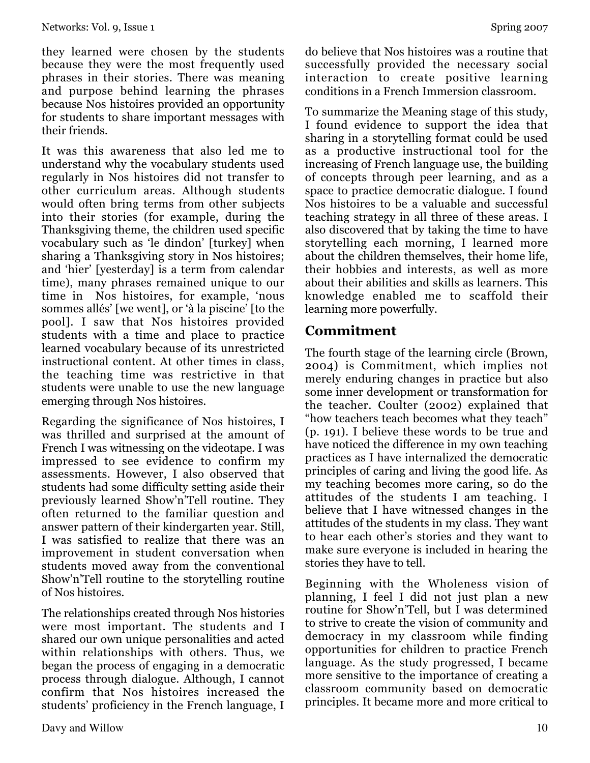they learned were chosen by the students because they were the most frequently used phrases in their stories. There was meaning and purpose behind learning the phrases because Nos histoires provided an opportunity for students to share important messages with their friends.

It was this awareness that also led me to understand why the vocabulary students used regularly in Nos histoires did not transfer to other curriculum areas. Although students would often bring terms from other subjects into their stories (for example, during the Thanksgiving theme, the children used specific vocabulary such as 'le dindon' [turkey] when sharing a Thanksgiving story in Nos histoires; and 'hier' [yesterday] is a term from calendar time), many phrases remained unique to our time in Nos histoires, for example, 'nous sommes allés' [we went], or 'à la piscine' [to the pool]. I saw that Nos histoires provided students with a time and place to practice learned vocabulary because of its unrestricted instructional content. At other times in class, the teaching time was restrictive in that students were unable to use the new language emerging through Nos histoires.

Regarding the significance of Nos histoires, I was thrilled and surprised at the amount of French I was witnessing on the videotape. I was impressed to see evidence to confirm my assessments. However, I also observed that students had some difficulty setting aside their previously learned Show'n'Tell routine. They often returned to the familiar question and answer pattern of their kindergarten year. Still, I was satisfied to realize that there was an improvement in student conversation when students moved away from the conventional Show'n'Tell routine to the storytelling routine of Nos histoires.

The relationships created through Nos histories were most important. The students and I shared our own unique personalities and acted within relationships with others. Thus, we began the process of engaging in a democratic process through dialogue. Although, I cannot confirm that Nos histoires increased the students' proficiency in the French language, I do believe that Nos histoires was a routine that successfully provided the necessary social interaction to create positive learning conditions in a French Immersion classroom.

To summarize the Meaning stage of this study, I found evidence to support the idea that sharing in a storytelling format could be used as a productive instructional tool for the increasing of French language use, the building of concepts through peer learning, and as a space to practice democratic dialogue. I found Nos histoires to be a valuable and successful teaching strategy in all three of these areas. I also discovered that by taking the time to have storytelling each morning, I learned more about the children themselves, their home life, their hobbies and interests, as well as more about their abilities and skills as learners. This knowledge enabled me to scaffold their learning more powerfully.

# **Commitment**

The fourth stage of the learning circle (Brown, 2004) is Commitment, which implies not merely enduring changes in practice but also some inner development or transformation for the teacher. Coulter (2002) explained that "how teachers teach becomes what they teach" (p. 191). I believe these words to be true and have noticed the difference in my own teaching practices as I have internalized the democratic principles of caring and living the good life. As my teaching becomes more caring, so do the attitudes of the students I am teaching. I believe that I have witnessed changes in the attitudes of the students in my class. They want to hear each other's stories and they want to make sure everyone is included in hearing the stories they have to tell.

Beginning with the Wholeness vision of planning, I feel I did not just plan a new routine for Show'n'Tell, but I was determined to strive to create the vision of community and democracy in my classroom while finding opportunities for children to practice French language. As the study progressed, I became more sensitive to the importance of creating a classroom community based on democratic principles. It became more and more critical to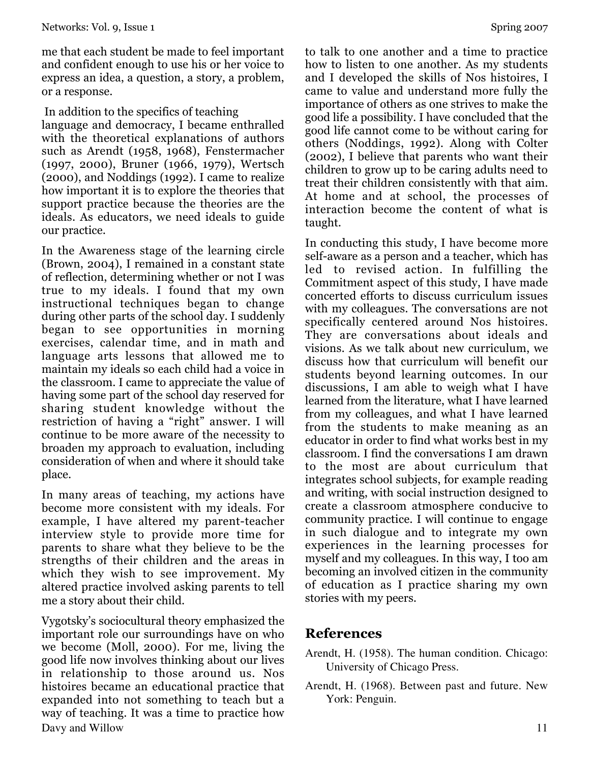me that each student be made to feel important and confident enough to use his or her voice to express an idea, a question, a story, a problem, or a response.

In addition to the specifics of teaching

language and democracy, I became enthralled with the theoretical explanations of authors such as Arendt (1958, 1968), Fenstermacher (1997, 2000), Bruner (1966, 1979), Wertsch (2000), and Noddings (1992). I came to realize how important it is to explore the theories that support practice because the theories are the ideals. As educators, we need ideals to guide our practice.

In the Awareness stage of the learning circle (Brown, 2004), I remained in a constant state of reflection, determining whether or not I was true to my ideals. I found that my own instructional techniques began to change during other parts of the school day. I suddenly began to see opportunities in morning exercises, calendar time, and in math and language arts lessons that allowed me to maintain my ideals so each child had a voice in the classroom. I came to appreciate the value of having some part of the school day reserved for sharing student knowledge without the restriction of having a "right" answer. I will continue to be more aware of the necessity to broaden my approach to evaluation, including consideration of when and where it should take place.

In many areas of teaching, my actions have become more consistent with my ideals. For example, I have altered my parent-teacher interview style to provide more time for parents to share what they believe to be the strengths of their children and the areas in which they wish to see improvement. My altered practice involved asking parents to tell me a story about their child.

Davy and Willow 11 Vygotsky's sociocultural theory emphasized the important role our surroundings have on who we become (Moll, 2000). For me, living the good life now involves thinking about our lives in relationship to those around us. Nos histoires became an educational practice that expanded into not something to teach but a way of teaching. It was a time to practice how

to talk to one another and a time to practice how to listen to one another. As my students and I developed the skills of Nos histoires, I came to value and understand more fully the importance of others as one strives to make the good life a possibility. I have concluded that the good life cannot come to be without caring for others (Noddings, 1992). Along with Colter (2002), I believe that parents who want their children to grow up to be caring adults need to treat their children consistently with that aim. At home and at school, the processes of interaction become the content of what is taught.

In conducting this study, I have become more self-aware as a person and a teacher, which has led to revised action. In fulfilling the Commitment aspect of this study, I have made concerted efforts to discuss curriculum issues with my colleagues. The conversations are not specifically centered around Nos histoires. They are conversations about ideals and visions. As we talk about new curriculum, we discuss how that curriculum will benefit our students beyond learning outcomes. In our discussions, I am able to weigh what I have learned from the literature, what I have learned from my colleagues, and what I have learned from the students to make meaning as an educator in order to find what works best in my classroom. I find the conversations I am drawn to the most are about curriculum that integrates school subjects, for example reading and writing, with social instruction designed to create a classroom atmosphere conducive to community practice. I will continue to engage in such dialogue and to integrate my own experiences in the learning processes for myself and my colleagues. In this way, I too am becoming an involved citizen in the community of education as I practice sharing my own stories with my peers.

### **References**

- Arendt, H. (1958). The human condition. Chicago: University of Chicago Press.
- Arendt, H. (1968). Between past and future. New York: Penguin.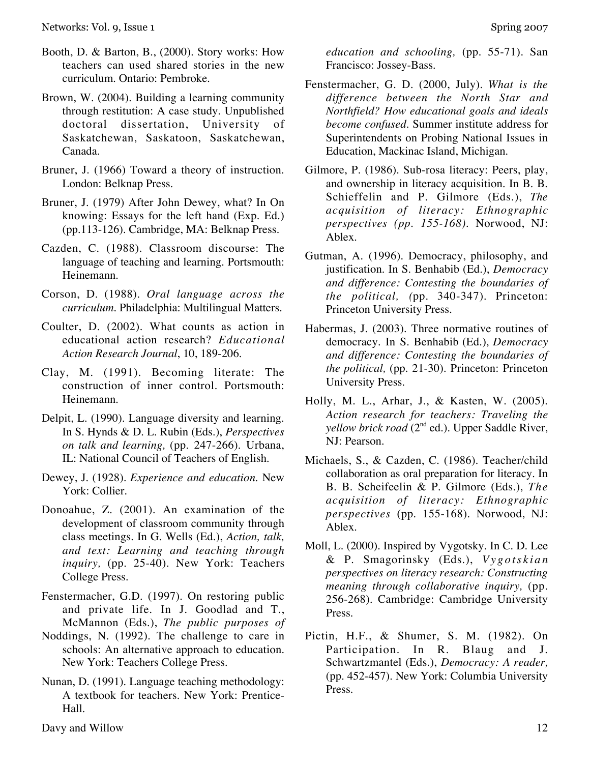- Booth, D. & Barton, B., (2000). Story works: How teachers can used shared stories in the new curriculum. Ontario: Pembroke.
- Brown, W. (2004). Building a learning community through restitution: A case study. Unpublished doctoral dissertation, University of Saskatchewan, Saskatoon, Saskatchewan, Canada.
- Bruner, J. (1966) Toward a theory of instruction. London: Belknap Press.
- Bruner, J. (1979) After John Dewey, what? In On knowing: Essays for the left hand (Exp. Ed.) (pp.113-126). Cambridge, MA: Belknap Press.
- Cazden, C. (1988). Classroom discourse: The language of teaching and learning. Portsmouth: Heinemann.
- Corson, D. (1988). *Oral language across the curriculum.* Philadelphia: Multilingual Matters.
- Coulter, D. (2002). What counts as action in educational action research? *Educational Action Research Journal*, 10, 189-206.
- Clay, M. (1991). Becoming literate: The construction of inner control. Portsmouth: Heinemann.
- Delpit, L. (1990). Language diversity and learning. In S. Hynds & D. L. Rubin (Eds.), *Perspectives on talk and learning,* (pp. 247-266). Urbana, IL: National Council of Teachers of English.
- Dewey, J. (1928). *Experience and education*. New York: Collier.
- Donoahue, Z. (2001). An examination of the development of classroom community through class meetings. In G. Wells (Ed.), *Action, talk, and text: Learning and teaching through inquiry,* (pp. 25-40). New York: Teachers College Press.
- Fenstermacher, G.D. (1997). On restoring public and private life. In J. Goodlad and T., McMannon (Eds.), *The public purposes of*
- Noddings, N. (1992). The challenge to care in schools: An alternative approach to education. New York: Teachers College Press.
- Nunan, D. (1991). Language teaching methodology: A textbook for teachers. New York: Prentice-Hall.

*education and schooling,* (pp. 55-71). San Francisco: Jossey-Bass.

- Fenstermacher, G. D. (2000, July). *What is the difference between the North Star and Northfield? How educational goals and ideals become confused.* Summer institute address for Superintendents on Probing National Issues in Education, Mackinac Island, Michigan.
- Gilmore, P. (1986). Sub-rosa literacy: Peers, play, and ownership in literacy acquisition. In B. B. Schieffelin and P. Gilmore (Eds.), *The acquisition of literacy: Ethnographic perspectives (pp. 155-168).* Norwood, NJ: Ablex.
- Gutman, A. (1996). Democracy, philosophy, and justification. In S. Benhabib (Ed.), *Democracy and difference: Contesting the boundaries of the political, (*pp. 340-347). Princeton: Princeton University Press.
- Habermas, J. (2003). Three normative routines of democracy. In S. Benhabib (Ed.), *Democracy and difference: Contesting the boundaries of the political,* (pp. 21-30). Princeton: Princeton University Press.
- Holly, M. L., Arhar, J., & Kasten, W. (2005). *Action research for teachers: Traveling the yellow brick road* (2nd ed.). Upper Saddle River, NJ: Pearson.
- Michaels, S., & Cazden, C. (1986). Teacher/child collaboration as oral preparation for literacy. In B. B. Scheifeelin & P. Gilmore (Eds.), *The acquisition of literacy: Ethnographic perspectives* (pp. 155-168). Norwood, NJ: Ablex.
- Moll, L. (2000). Inspired by Vygotsky. In C. D. Lee & P. Smagorinsky (Eds.), *Vygotskian perspectives on literacy research: Constructing meaning through collaborative inquiry,* (pp. 256-268). Cambridge: Cambridge University Press.
- Pictin, H.F., & Shumer, S. M. (1982). On Participation. In R. Blaug and J. Schwartzmantel (Eds.), *Democracy: A reader,* (pp. 452-457). New York: Columbia University Press.